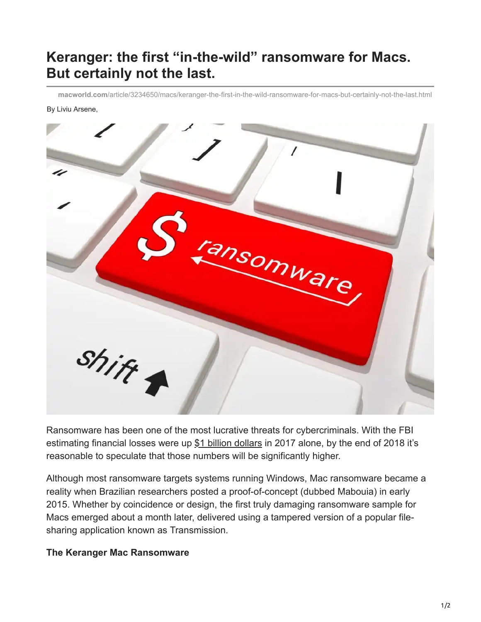## **Keranger: the first "in-the-wild" ransomware for Macs. But certainly not the last.**

**macworld.com**[/article/3234650/macs/keranger-the-first-in-the-wild-ransomware-for-macs-but-certainly-not-the-last.html](https://www.macworld.com/article/3234650/macs/keranger-the-first-in-the-wild-ransomware-for-macs-but-certainly-not-the-last.html)

## By Liviu Arsene,



Ransomware has been one of the most lucrative threats for cybercriminals. With the FBI estimating financial losses were up [\\$1 billion dollars](https://go.redirectingat.com/?id=111346X1569486&url=https://hotforsecurity.bitdefender.com/blog/how-ransomware-turned-into-a-billion-dollar-business-15981.html&xcust=1-1-230621-1-0-0&sref=https://www.macworld.com/article/230621/keranger-the-first-in-the-wild-ransomware-for-macs-but-certainly-not-the-last.html) in 2017 alone, by the end of 2018 it's reasonable to speculate that those numbers will be significantly higher.

Although most ransomware targets systems running Windows, Mac ransomware became a reality when Brazilian researchers posted a proof-of-concept (dubbed Mabouia) in early 2015. Whether by coincidence or design, the first truly damaging ransomware sample for Macs emerged about a month later, delivered using a tampered version of a popular filesharing application known as Transmission.

## **The Keranger Mac Ransomware**